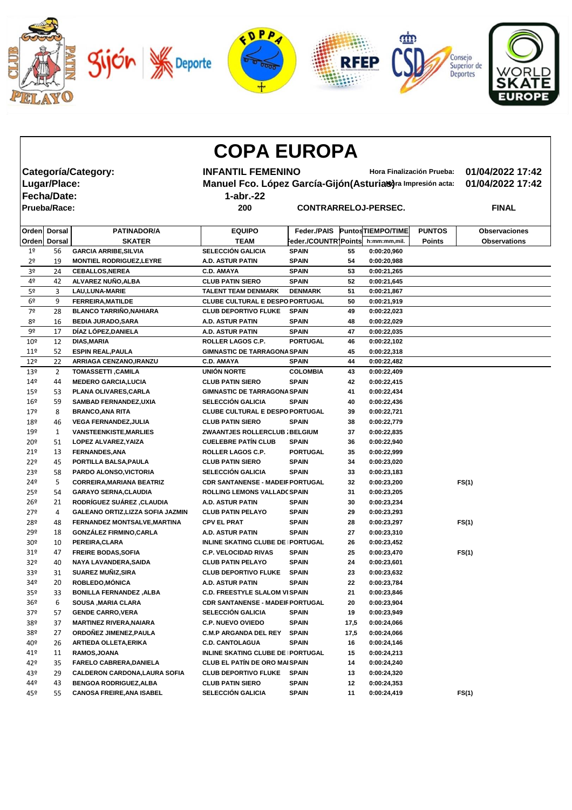

|                 |                     |                                          | <b>COPA EUROPA</b>                                    |                                                             |      |                          |               |                      |
|-----------------|---------------------|------------------------------------------|-------------------------------------------------------|-------------------------------------------------------------|------|--------------------------|---------------|----------------------|
|                 |                     | Categoría/Category:                      | <b>INFANTIL FEMENINO</b><br>Hora Finalización Prueba: |                                                             |      |                          |               | 01/04/2022 17:42     |
|                 | Lugar/Place:        |                                          |                                                       | Manuel Fco. López García-Gijón (Asturias)ra Impresión acta: |      |                          |               |                      |
|                 |                     |                                          |                                                       | 01/04/2022 17:42                                            |      |                          |               |                      |
|                 | <b>Fecha/Date:</b>  |                                          | $1$ -abr.-22                                          |                                                             |      |                          |               |                      |
|                 | <b>Prueba/Race:</b> |                                          | 200                                                   | <b>CONTRARRELOJ-PERSEC.</b>                                 |      |                          |               | <b>FINAL</b>         |
|                 | Orden Dorsal        | <b>PATINADOR/A</b>                       | <b>EQUIPO</b>                                         | <b>Feder /PAIS</b>                                          |      | <b>PuntosTIEMPO/TIME</b> | <b>PUNTOS</b> | <b>Observaciones</b> |
|                 | Orden Dorsal        | <b>SKATER</b>                            | <b>TEAM</b>                                           | Feder./COUNTR]Points                                        |      | h:mm:mm,mil.             | <b>Points</b> | <b>Observations</b>  |
| 1 <sup>°</sup>  | 56                  | <b>GARCIA ARRIBE, SILVIA</b>             | <b>SELECCIÓN GALICIA</b>                              | <b>SPAIN</b>                                                | 55   | 0:00:20,960              |               |                      |
| 2 <sup>o</sup>  | 19                  | <b>MONTIEL RODRIGUEZ, LEYRE</b>          | <b>A.D. ASTUR PATIN</b>                               | <b>SPAIN</b>                                                | 54   | 0:00:20,988              |               |                      |
| 3 <sup>o</sup>  | 24                  | <b>CEBALLOS, NEREA</b>                   | <b>C.D. AMAYA</b>                                     | <b>SPAIN</b>                                                | 53   | 0:00:21,265              |               |                      |
| 4º              | 42                  | ALVAREZ NUÑO, ALBA                       | <b>CLUB PATIN SIERO</b>                               | <b>SPAIN</b>                                                | 52   | 0:00:21,645              |               |                      |
| 5 <sup>o</sup>  | 3                   | <b>LAU, LUNA-MARIE</b>                   | <b>TALENT TEAM DENMARK</b>                            | <b>DENMARK</b>                                              | 51   | 0:00:21,867              |               |                      |
| 6 <sup>o</sup>  | 9                   | <b>FERREIRA, MATILDE</b>                 | <b>CLUBE CULTURAL E DESPO PORTUGAL</b>                |                                                             | 50   | 0:00:21,919              |               |                      |
| 7º              | 28                  | <b>BLANCO TARRIÑO, NAHIARA</b>           | <b>CLUB DEPORTIVO FLUKE</b>                           | <b>SPAIN</b>                                                | 49   | 0:00:22,023              |               |                      |
| 8 <sup>o</sup>  | 16                  | <b>BEDIA JURADO, SARA</b>                | <b>A.D. ASTUR PATIN</b>                               | <b>SPAIN</b>                                                | 48   | 0:00:22,029              |               |                      |
| 9º              | 17                  | DÍAZ LÓPEZ, DANIELA                      | <b>A.D. ASTUR PATIN</b>                               | <b>SPAIN</b>                                                | 47   | 0:00:22,035              |               |                      |
| 10 <sup>°</sup> | 12                  | <b>DIAS, MARIA</b>                       | <b>ROLLER LAGOS C.P.</b>                              | <b>PORTUGAL</b>                                             | 46   | 0:00:22,102              |               |                      |
| 11 <sup>°</sup> | 52                  | <b>ESPIN REAL, PAULA</b>                 | <b>GIMNASTIC DE TARRAGONA SPAIN</b>                   |                                                             | 45   | 0:00:22,318              |               |                      |
| 12 <sup>°</sup> | 22                  | ARRIAGA CENZANO, IRANZU                  | <b>C.D. AMAYA</b>                                     | <b>SPAIN</b>                                                | 44   | 0:00:22,482              |               |                      |
| 13º             | $\overline{2}$      | <b>TOMASSETTI, CAMILA</b>                | UNIÓN NORTE                                           | <b>COLOMBIA</b>                                             | 43   | 0:00:22,409              |               |                      |
| 14 <sup>°</sup> | 44                  | <b>MEDERO GARCIA, LUCIA</b>              | <b>CLUB PATIN SIERO</b>                               | <b>SPAIN</b>                                                | 42   | 0:00:22,415              |               |                      |
| 15º             | 53                  | PLANA OLIVARES, CARLA                    | <b>GIMNASTIC DE TARRAGONA SPAIN</b>                   |                                                             | 41   | 0:00:22,434              |               |                      |
| 16 <sup>°</sup> | 59                  | <b>SAMBAD FERNANDEZ, UXIA</b>            | <b>SELECCIÓN GALICIA</b>                              | <b>SPAIN</b>                                                | 40   | 0:00:22,436              |               |                      |
| 179             | 8                   | <b>BRANCO, ANA RITA</b>                  | <b>CLUBE CULTURAL E DESPO PORTUGAL</b>                |                                                             | 39   | 0:00:22,721              |               |                      |
| 18º             | 46                  | <b>VEGA FERNANDEZ, JULIA</b>             | <b>CLUB PATIN SIERO</b>                               | <b>SPAIN</b>                                                | 38   | 0:00:22,779              |               |                      |
| 19º             | 1                   | <b>VANSTEENKISTE, MARLIES</b>            | <b>ZWAANTJES ROLLERCLUB : BELGIUM</b>                 |                                                             | 37   | 0:00:22,835              |               |                      |
| 20 <sup>o</sup> | 51                  | LOPEZ ALVAREZ, YAIZA                     | <b>CUELEBRE PATÍN CLUB</b>                            | <b>SPAIN</b>                                                | 36   | 0:00:22,940              |               |                      |
| 21°             | 13                  | <b>FERNANDES, ANA</b>                    | <b>ROLLER LAGOS C.P.</b>                              | <b>PORTUGAL</b>                                             | 35   | 0:00:22,999              |               |                      |
| 22°             | 45                  | PORTILLA BALSA, PAULA                    | <b>CLUB PATIN SIERO</b>                               | <b>SPAIN</b>                                                | 34   | 0:00:23,020              |               |                      |
| 23 <sup>°</sup> | 58                  | PARDO ALONSO, VICTORIA                   | <b>SELECCIÓN GALICIA</b>                              | <b>SPAIN</b>                                                | 33   | 0:00:23,183              |               |                      |
| 24º             | 5                   | <b>CORREIRA, MARIANA BEATRIZ</b>         | <b>CDR SANTANENSE - MADEIF PORTUGAL</b>               |                                                             | 32   | 0:00:23,200              |               | FS(1)                |
| 25 <sup>°</sup> | 54                  | <b>GARAYO SERNA, CLAUDIA</b>             | <b>ROLLING LEMONS VALLAD( SPAIN</b>                   |                                                             | 31   | 0:00:23,205              |               |                      |
| 26 <sup>°</sup> | 21                  | <b>RODRÍGUEZ SUÁREZ , CLAUDIA</b>        | A.D. ASTUR PATIN                                      | <b>SPAIN</b>                                                | 30   | 0:00:23,234              |               |                      |
| 27 <sup>°</sup> | 4                   | <b>GALEANO ORTIZ, LIZZA SOFIA JAZMIN</b> | <b>CLUB PATIN PELAYO</b>                              | <b>SPAIN</b>                                                | 29   | 0:00:23,293              |               |                      |
| 28º             | 48                  | FERNANDEZ MONTSALVE, MARTINA             | <b>CPV EL PRAT</b>                                    | <b>SPAIN</b>                                                | 28   | 0:00:23,297              |               | FS(1)                |
| 29º             | 18                  | <b>GONZÁLEZ FIRMINO, CARLA</b>           | A.D. ASTUR PATIN                                      | <b>SPAIN</b>                                                | 27   | 0:00:23,310              |               |                      |
| 30 <sup>o</sup> | 10                  | PEREIRA, CLARA                           | INLINE SKATING CLUBE DE PORTUGAL                      |                                                             | 26   | 0:00:23,452              |               |                      |
| 31 <sup>°</sup> | 47                  | <b>FREIRE BODAS, SOFIA</b>               | <b>C.P. VELOCIDAD RIVAS</b>                           | <b>SPAIN</b>                                                | 25   | 0:00:23,470              |               | FS(1)                |
| 32 <sup>o</sup> | 40                  | NAYA LAVANDERA, SAIDA                    | <b>CLUB PATIN PELAYO</b>                              | <b>SPAIN</b>                                                | 24   | 0:00:23,601              |               |                      |
| 33º             | 31                  | SUAREZ MUÑIZ, SIRA                       | <b>CLUB DEPORTIVO FLUKE</b>                           | <b>SPAIN</b>                                                | 23   | 0:00:23,632              |               |                      |
| 34º             | 20                  | ROBLEDO, MÓNICA                          | A.D. ASTUR PATIN                                      | <b>SPAIN</b>                                                | 22   | 0:00:23,784              |               |                      |
| 35 <sup>o</sup> | 33                  | <b>BONILLA FERNANDEZ, ALBA</b>           | <b>C.D. FREESTYLE SLALOM VISPAIN</b>                  |                                                             | 21   | 0:00:23,846              |               |                      |
| 36 <sup>°</sup> | 6                   | <b>SOUSA , MARIA CLARA</b>               | <b>CDR SANTANENSE - MADEIF PORTUGAL</b>               |                                                             | 20   | 0:00:23,904              |               |                      |
| 37 <sup>°</sup> | 57                  | <b>GENDE CARRO, VERA</b>                 | <b>SELECCIÓN GALICIA</b>                              | <b>SPAIN</b>                                                | 19   | 0:00:23,949              |               |                      |
| 38º             | 37                  | <b>MARTINEZ RIVERA, NAIARA</b>           | <b>C.P. NUEVO OVIEDO</b>                              | <b>SPAIN</b>                                                | 17,5 | 0:00:24,066              |               |                      |
| 38º             | 27                  | ORDOÑEZ JIMENEZ, PAULA                   | <b>C.M.P ARGANDA DEL REY</b>                          | <b>SPAIN</b>                                                | 17,5 | 0:00:24,066              |               |                      |
| 40º             | 26                  | <b>ARTIEDA OLLETA, ERIKA</b>             | <b>C.D. CANTOLAGUA</b>                                | <b>SPAIN</b>                                                | 16   | 0:00:24,146              |               |                      |
| 41º             | 11                  | RAMOS, JOANA                             | INLINE SKATING CLUBE DE PORTUGAL                      |                                                             | 15   | 0:00:24,213              |               |                      |
| 42°             | 35                  | <b>FARELO CABRERA, DANIELA</b>           | <b>CLUB EL PATÍN DE ORO MAI SPAIN</b>                 |                                                             | 14   | 0:00:24,240              |               |                      |
| 43º             | 29                  | <b>CALDERON CARDONA, LAURA SOFIA</b>     | <b>CLUB DEPORTIVO FLUKE</b>                           | <b>SPAIN</b>                                                | 13   | 0:00:24,320              |               |                      |
| 449             | 43                  | <b>BENGOA RODRIGUEZ, ALBA</b>            | <b>CLUB PATIN SIERO</b>                               | <b>SPAIN</b>                                                | 12   | 0:00:24,353              |               |                      |
| 45º             | 55                  | <b>CANOSA FREIRE, ANA ISABEL</b>         | SELECCIÓN GALICIA                                     | <b>SPAIN</b>                                                | 11   | 0:00:24,419              |               | FS(1)                |